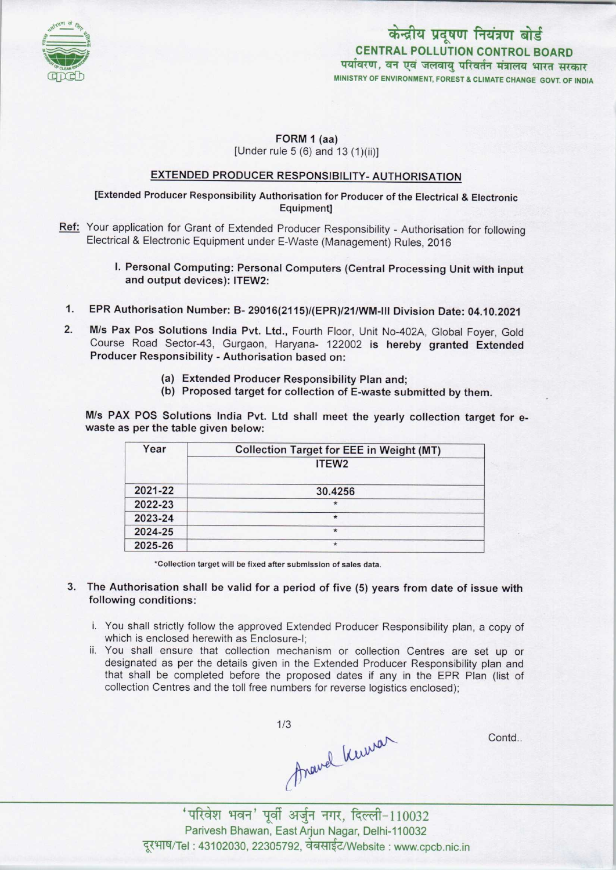

# केन्द्रीय प्रदूषण नियंत्रण बोर्ड CENTRAL POLLUTION CONTROL BOARDपर्यावरण, वन एवं जलवाय परिवर्तन मंत्रालय भारत सरकार MINISTRY OF ENVIRONMENT, FOREST S CLIMATE CHANGE GOVT. OF INDIA

#### FORM 1 (aa) [Under rule 5 (6) and 13 (1)(ii)]

### EXTENDED PRODUCER RESPONSIBILITY- AUTHORISATION

### [Extended Producer Responsibility Authorisation for Producer ofthe Electrical & Electronic Equipment]

- Ref: Your application for Grant of Extended Producer Responsibility Authorisation for following Electrical & Electronic Equipment under E-Waste (Management) Rules, 2016
	- I. Personal Computing: Personal Computers(Central Processing Unit with input and output devices): ITEW2:
	- 1. EPR Authorisation Number: B- 29016(2115)/(EPR)/21/WM-lll Division Date: 04.10.2021
- M/s Pax Pos Solutions India Pvt. Ltd., Fourth Floor, Unit No-402A, Global Foyer, Gold Course Road Sector-43, Gurgaon, Haryana- 122002 is hereby granted Extended Producer Responsibility - Authorisation based on: 2.
	- (a)Extended Producer Responsibility Plan and;
	- (b) Proposed target for collection of E-waste submitted by them.

M/s PAX POS Solutions India Pvt. Ltd shall meet the yearly collection target for ewaste as per the table given below:

| Year    | <b>Collection Target for EEE in Weight (MT)</b> |
|---------|-------------------------------------------------|
|         | ITEW <sub>2</sub>                               |
| 2021-22 | 30.4256                                         |
| 2022-23 | $\star$                                         |
| 2023-24 | $\star$                                         |
| 2024-25 | $\star$                                         |
| 2025-26 | $\star$                                         |

\*Collection target will be fixed after submission of sales data.

- 3. The Authorisation shall be valid for a period of five (5) years from date of issue with following conditions:
	- i. You shall strictly follow the approved Extended Producer Responsibility plan, a copy of which is enclosed herewith as Enclosure-I;
	- ii. You shall ensure that collection mechanism or collection Centres are set up or designated as per the details given in the Extended Producer Responsibility plan and that shall be completed before the proposed dates if any in the EPR Plan (list of collection Centres and the toll free numbers for reverse logistics enclosed);

thave knowar

Contd..

'परिवेश भवन' पूर्वी अर्जुन नगर, दिल्ली-110032 Parivesh Bhawan, East Arjun Nagar, Delhi-110032 iरिवेश भवन' पूर्वी अर्जुन नगर, दिल्ली–110032<br>arivesh Bhawan, East Arjun Nagar, Delhi-110032<br>: 43102030, 22305792, वेबसाईट/Website : www.cpcb.nic.ir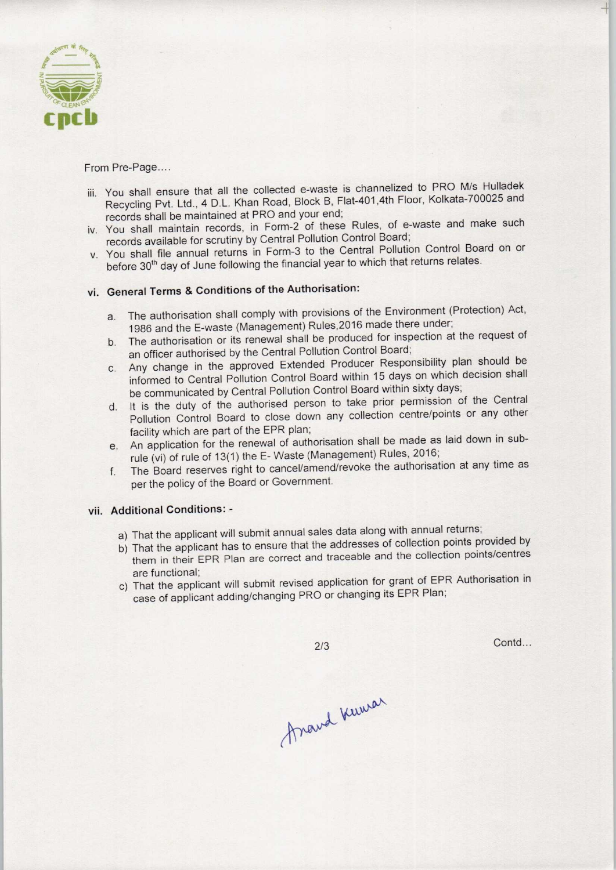

From Pre-Page....

- iii. You shall ensure that all the collected e-waste is channelized to PRO M/s Hulladek Recycling Pvt. Ltd., 4 D.L. Khan Road, Block B, Flat-401,4th Floor, Kolkata-700025 and records shall be maintained at PRO and your end;
- iv. You shall maintain records, in Form-2 of these Rules, of e-waste and make such records available for scrutiny by Central Pollution Control Board;
- v. You shall file annual returns in Form-3 to the Central Pollution Control Board on or before 30<sup>th</sup> day of June following the financial year to which that returns relates.

## vi. General Terms & Conditions of the Authorisation:

- a.The authorisation shall comply with provisions of the Environment (Protection) Act, 1986 and the E-waste (Management) Rules,2016 made there under;
- b. The authorisation or its renewal shall be produced for inspection at the request of an officer authorised by the Central Pollution Control Board;
- c.Any change in the approved Extended Producer Responsibility plan should be informed to Central Pollution Control Board within 15 days on which decision shall be communicated by Central Pollution Control Board within sixty days;
- d. It is the duty of the authorised person to take prior permission of the Central Pollution Control Board to close down any collection centre/points or any other facility which are part of the EPR plan;
- e.An application for the renewal of authorisation shall be made aslaid down in subrule (vi) of rule of 13(1) the E- Waste (Management) Rules, 2016;
- f. The Board reserves right to cancel/amend/revoke the authorisation at any time as perthe policy of the Board or Government.

#### vii. Additional Conditions:-

- a) That the applicant will submit annual sales data along with annual returns;
- France data along with annual returns;<br>
the addresses of collection points provided by<br>
the addresses of collection points/centre:<br>
application for grant of EPR Authorisation is<br>
O or changing its EPR Plan;<br>
2/3 Contd. a) That the applicant will subfill all lidal sales data disrigional anticempoints provided by<br>b) That the applicant has to ensure that the addresses of collection points provided by them in their EPR Plan are correct and traceable and the collection points/centres are functional;
- c) That the applicant will submit revised application for grant of EPR Authorisation in case of applicant adding/changing PRO or changing its EPR Plan;